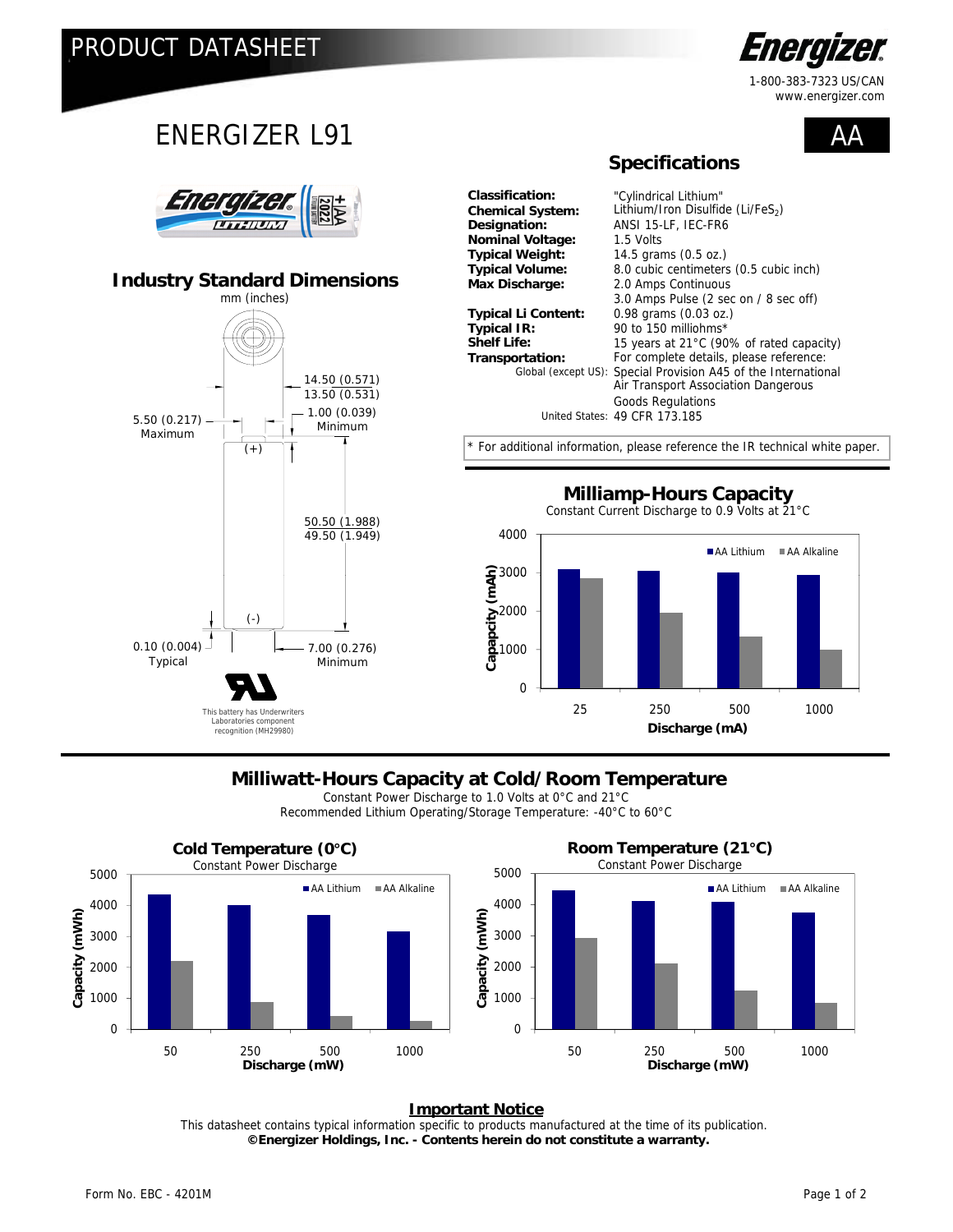

1-800-383-7323 US/CAN www.energizer.com

 $\Delta$   $\Delta$ 

### ENERGIZER L91



### **Industry Standard Dimensions**



**Nominal Voltage:** 1.5 Volts<br>**Typical Weight:** 14.5 grar

**Classification:** "Cylindrical Lithium" Lithium/Iron Disulfide (Li/FeS<sub>2</sub>) **Designation:** ANSI 15-LF, IEC-FR6 **Typical Weight:** 14.5 grams (0.5 oz.) **Typical Volume:** 8.0 cubic centimeters (0.5 cubic inch) **Max Discharge:** 2.0 Amps Continuous 3.0 Amps Pulse (2 sec on / 8 sec off) **Typical Li Content:** 0.98 grams (0.03 oz.) **Typical IR:** 90 to 150 milliohms\*<br>**Shelf Life:** 15 years at 21°C (90 **Shelf Life:** 15 years at 21°C (90% of rated capacity)<br> **Transportation:** For complete details, please reference: For complete details, please reference: Special Provision A45 of the International Air Transport Association Dangerous Goods Regulations United States: 49 CFR 173.185 Global (except US):

\* For additional information, [please reference the IR technical white paper.](http://data.energizer.com/PDFs/BatteryIR.pdf) 

 **Specifications**



### **Milliwatt-Hours Capacity at Cold/Room Temperature**

Constant Power Discharge to 1.0 Volts at 0°C and 21°C Recommended Lithium Operating/Storage Temperature: -40°C to 60°C



#### **Important Notice**

 **©Energizer Holdings, Inc. - Contents herein do not constitute a warranty.** This datasheet contains typical information specific to products manufactured at the time of its publication.